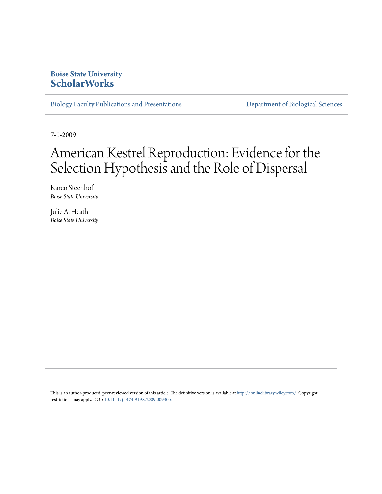### **Boise State University [ScholarWorks](https://scholarworks.boisestate.edu)**

[Biology Faculty Publications and Presentations](https://scholarworks.boisestate.edu/bio_facpubs) **[Department of Biological Sciences](https://scholarworks.boisestate.edu/biosciences)** 

7-1-2009

# American Kestrel Reproduction: Evidence for the Selection Hypothesis and the Role of Dispersal

Karen Steenhof *Boise State University*

Julie A. Heath *Boise State University*

This is an author-produced, peer-reviewed version of this article. The definitive version is available at <http://onlinelibrary.wiley.com/>. Copyright restrictions may apply. DOI: [10.1111/j.1474-919X.2009.00930.x](http://dx.doi.org/10.1111/j.1474-919X.2009.00930.x)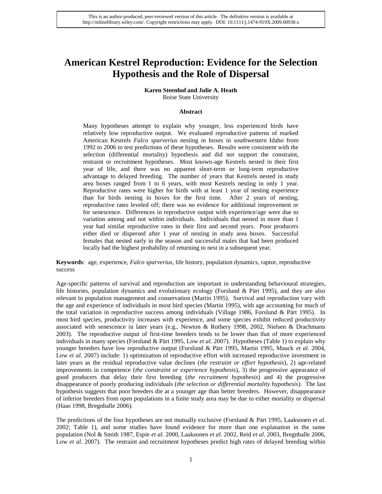# **American Kestrel Reproduction: Evidence for the Selection Hypothesis and the Role of Dispersal**

## **Karen Steenhof and Julie A. Heath**

Boise State University

#### **Abstract**

Many hypotheses attempt to explain why younger, less experienced birds have relatively low reproductive output. We evaluated reproductive patterns of marked American Kestrels *Falco sparverius* nesting in boxes in southwestern Idaho from 1992 to 2006 to test predictions of these hypotheses. Results were consistent with the selection (differential mortality) hypothesis and did not support the constraint, restraint or recruitment hypotheses. Most known-age Kestrels nested in their first year of life, and there was no apparent short-term or long-term reproductive advantage to delayed breeding. The number of years that Kestrels nested in study area boxes ranged from 1 to 6 years, with most Kestrels nesting in only 1 year. Reproductive rates were higher for birds with at least 1 year of nesting experience than for birds nesting in boxes for the first time. After 2 years of nesting, reproductive rates leveled off; there was no evidence for additional improvement or for senescence. Differences in reproductive output with experience/age were due to variation among and not within individuals. Individuals that nested in more than 1 year had similar reproductive rates in their first and second years. Poor producers either died or dispersed after 1 year of nesting in study area boxes. Successful females that nested early in the season and successful males that had been produced locally had the highest probability of returning to nest in a subsequent year.

**Keywords**: age, experience, *Falco sparverius*, life history, population dynamics, raptor, reproductive success

Age-specific patterns of survival and reproduction are important in understanding behavioural strategies, life histories, population dynamics and evolutionary ecology (Forslund & Pärt 1995), and they are also relevant to population management and conservation (Martin 1995). Survival and reproduction vary with the age and experience of individuals in most bird species (Martin 1995), with age accounting for much of the total variation in reproductive success among individuals (Village 1986, Forslund & Pärt 1995). In most bird species, productivity increases with experience, and some species exhibit reduced productivity associated with senescence in later years (e.g., Newton & Rothery 1998, 2002, Nielsen & Drachmann 2003). The reproductive output of first-time breeders tends to be lower than that of more experienced individuals in many species (Forslund & Pärt 1995, Low *et al.* 2007). Hypotheses (Table 1) to explain why younger breeders have low reproductive output (Forslund & Pärt 1995, Martin 1995, Mauck *et al*. 2004, Low *et al.* 2007) include: 1) optimization of reproductive effort with increased reproductive investment in later years as the residual reproductive value declines (*the restraint or effort hypothesis*), 2) age-related improvements in competence (*the constraint or experience hypothesis*), 3) the progressive appearance of good producers that delay their first breeding (*the recruitment hypothesis*) and 4) the progressive disappearance of poorly producing individuals (*the selection or differential mortality hypothesis*). The last hypothesis suggests that poor breeders die at a younger age than better breeders. However, disappearance of inferior breeders from open populations in a finite study area may be due to either mortality or dispersal (Haas 1998, Bregnballe 2006).

The predictions of the four hypotheses are not mutually exclusive (Forslund & Pärt 1995, Laaksonen *et al.* 2002; Table 1), and some studies have found evidence for more than one explanation in the same population (Nol & Smith 1987, Espie *et al.* 2000, Laaksonen *et al.* 2002, Reid *et al*. 2003, Bregnballe 2006, Low *et al.* 2007). The restraint and recruitment hypotheses predict high rates of delayed breeding within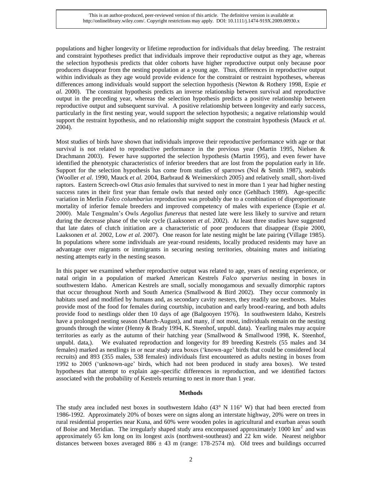populations and higher longevity or lifetime reproduction for individuals that delay breeding. The restraint and constraint hypotheses predict that individuals improve their reproductive output as they age, whereas the selection hypothesis predicts that older cohorts have higher reproductive output only because poor producers disappear from the nesting population at a young age. Thus, differences in reproductive output within individuals as they age would provide evidence for the constraint or restraint hypotheses, whereas differences among individuals would support the selection hypothesis (Newton & Rothery 1998, Espie *et al.* 2000). The constraint hypothesis predicts an inverse relationship between survival and reproductive output in the preceding year, whereas the selection hypothesis predicts a positive relationship between reproductive output and subsequent survival. A positive relationship between longevity and early success, particularly in the first nesting year, would support the selection hypothesis; a negative relationship would support the restraint hypothesis, and no relationship might support the constraint hypothesis (Mauck *et al.*) 2004).

Most studies of birds have shown that individuals improve their reproductive performance with age or that survival is not related to reproductive performance in the previous year (Martin 1995, Nielsen  $\&$ Drachmann 2003). Fewer have supported the selection hypothesis (Martin 1995), and even fewer have identified the phenotypic characteristics of inferior breeders that are lost from the population early in life. Support for the selection hypothesis has come from studies of sparrows (Nol  $\&$  Smith 1987), seabirds (Wooller *et al.* 1990, Mauck *et al.* 2004, Barbraud & Weimerskirch 2005) and relatively small, short-lived raptors. Eastern Screech-owl *Otus asio* females that survived to nest in more than 1 year had higher nesting success rates in their first year than female owls that nested only once (Gehlbach 1989). Age-specific variation in Merlin *Falco columbarius* reproduction was probably due to a combination of disproportionate mortality of inferior female breeders and improved competency of males with experience (Espie *et al.* 2000). Male Tengmalm's Owls *Aegolius funereus* that nested late were less likely to survive and return during the decrease phase of the vole cycle (Laaksonen *et al.* 2002). At least three studies have suggested that late dates of clutch initiation are a characteristic of poor producers that disappear (Espie 2000, Laaksonen *et al.* 2002, Low *et al.* 2007). One reason for late nesting might be late pairing (Village 1985). In populations where some individuals are year-round residents, locally produced residents may have an advantage over migrants or immigrants in securing nesting territories, obtaining mates and initiating nesting attempts early in the nesting season.

In this paper we examined whether reproductive output was related to age, years of nesting experience, or natal origin in a population of marked American Kestrels *Falco sparverius* nesting in boxes in southwestern Idaho. American Kestrels are small, socially monogamous and sexually dimorphic raptors that occur throughout North and South America (Smallwood & Bird 2002). They occur commonly in habitats used and modified by humans and, as secondary cavity nesters, they readily use nestboxes. Males provide most of the food for females during courtship, incubation and early brood-rearing, and both adults provide food to nestlings older then 10 days of age (Balgooyen 1976). In southwestern Idaho, Kestrels have a prolonged nesting season (March-August), and many, if not most, individuals remain on the nesting grounds through the winter (Henny & Brady 1994, K. Steenhof, unpubl. data). Yearling males may acquire territories as early as the autumn of their hatching year (Smallwood & Smallwood 1998, K. Steenhof, unpubl. data,). We evaluated reproduction and longevity for 89 breeding Kestrels (55 males and 34 females) marked as nestlings in or near study area boxes ('known-age' birds that could be considered local recruits) and 893 (355 males, 538 females) individuals first encountered as adults nesting in boxes from 1992 to 2005 ('unknown-age' birds, which had not been produced in study area boxes). We tested hypotheses that attempt to explain age-specific differences in reproduction, and we identified factors associated with the probability of Kestrels returning to nest in more than 1 year.

#### **Methods**

The study area included nest boxes in southwestern Idaho (43° N 116° W) that had been erected from 1986-1992. Approximately 20% of boxes were on signs along an interstate highway, 20% were on trees in rural residential properties near Kuna, and 60% were wooden poles in agricultural and exurban areas south of Boise and Meridian. The irregularly shaped study area encompassed approximately  $1000 \text{ km}^2$  and was approximately 65 km long on its longest axis (northwest-southeast) and 22 km wide. Nearest neighbor distances between boxes averaged  $886 \pm 43$  m (range: 178-2574 m). Old trees and buildings occurred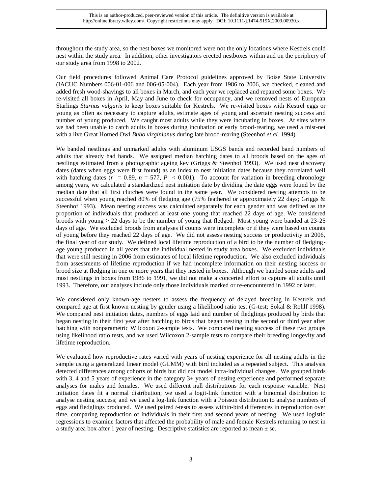throughout the study area, so the nest boxes we monitored were not the only locations where Kestrels could nest within the study area. In addition, other investigators erected nestboxes within and on the periphery of our study area from 1998 to 2002*.* 

Our field procedures followed Animal Care Protocol guidelines approved by Boise State University (IACUC Numbers 006-01-006 and 006-05-004). Each year from 1986 to 2006, we checked, cleaned and added fresh wood-shavings to all boxes in March, and each year we replaced and repaired some boxes. We re-visited all boxes in April, May and June to check for occupancy, and we removed nests of European Starlings *Sturnus vulgaris* to keep boxes suitable for Kestrels. We re-visited boxes with Kestrel eggs or young as often as necessary to capture adults, estimate ages of young and ascertain nesting success and number of young produced. We caught most adults while they were incubating in boxes. At sites where we had been unable to catch adults in boxes during incubation or early brood-rearing, we used a mist-net with a live Great Horned Owl *Bubo virginianus* during late brood-rearing (Steenhof *et al.* 1994).

We banded nestlings and unmarked adults with aluminum USGS bands and recorded band numbers of adults that already had bands. We assigned median hatching dates to all broods based on the ages of nestlings estimated from a photographic ageing key (Griggs & Steenhof 1993). We used nest discovery dates (dates when eggs were first found) as an index to nest initiation dates because they correlated well with hatching dates ( $r = 0.89$ ,  $n = 577$ ,  $P < 0.001$ ). To account for variation in breeding chronology among years, we calculated a standardized nest initiation date by dividing the date eggs were found by the median date that all first clutches were found in the same year. We considered nesting attempts to be successful when young reached 80% of fledging age (75% feathered or approximately 22 days; Griggs & Steenhof 1993).Mean nesting success was calculated separately for each gender and was defined as the proportion of individuals that produced at least one young that reached 22 days of age. We considered broods with young  $> 22$  days to be the number of young that fledged. Most young were banded at 23-25 days of age. We excluded broods from analyses if counts were incomplete or if they were based on counts of young before they reached 22 days of age. We did not assess nesting success or productivity in 2006, the final year of our study. We defined local lifetime reproduction of a bird to be the number of fledgingage young produced in all years that the individual nested in study area boxes. We excluded individuals that were still nesting in 2006 from estimates of local lifetime reproduction. We also excluded individuals from assessments of lifetime reproduction if we had incomplete information on their nesting success or brood size at fledging in one or more years that they nested in boxes. Although we banded some adults and most nestlings in boxes from 1986 to 1991, we did not make a concerted effort to capture all adults until 1993. Therefore, our analyses include only those individuals marked or re-encountered in 1992 or later.

We considered only known-age nesters to assess the frequency of delayed breeding in Kestrels and compared age at first known nesting by gender using a likelihood ratio test (G-test; Sokal & Rohlf 1998). We compared nest initiation dates, numbers of eggs laid and number of fledglings produced by birds that began nesting in their first year after hatching to birds that began nesting in the second or third year after hatching with nonparametric Wilcoxon 2-sample tests. We compared nesting success of these two groups using likelihood ratio tests, and we used Wilcoxon 2-sample tests to compare their breeding longevity and lifetime reproduction.

We evaluated how reproductive rates varied with years of nesting experience for all nesting adults in the sample using a generalized linear model (GLMM) with bird included as a repeated subject. This analysis detected differences among cohorts of birds but did not model intra-individual changes. We grouped birds with 3, 4 and 5 years of experience in the category 3+ years of nesting experience and performed separate analyses for males and females. We used different null distributions for each response variable. Nest initiation dates fit a normal distribution; we used a logit-link function with a binomial distribution to analyse nesting success; and we used a log-link function with a Poisson distribution to analyse numbers of eggs and fledglings produced. We used paired *t*-tests to assess within-bird differences in reproduction over time, comparing reproduction of individuals in their first and second years of nesting. We used logistic regressions to examine factors that affected the probability of male and female Kestrels returning to nest in a study area box after 1 year of nesting. Descriptive statistics are reported as mean  $\pm$  se.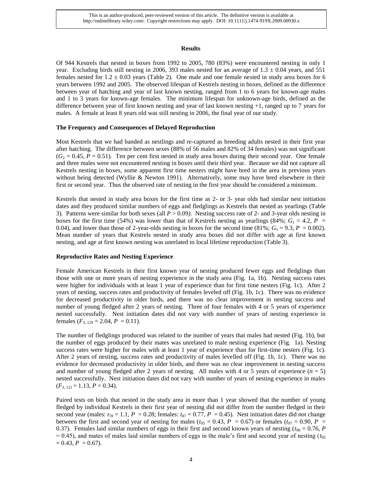#### **Results**

Of 944 Kestrels that nested in boxes from 1992 to 2005, 780 (83%) were encountered nesting in only 1 year. Excluding birds still nesting in 2006, 393 males nested for an average of  $1.3 \pm 0.04$  years, and 551 females nested for  $1.2 \pm 0.03$  years (Table 2). One male and one female nested in study area boxes for 6 years between 1992 and 2005. The observed lifespan of Kestrels nesting in boxes, defined as the difference between year of hatching and year of last known nesting, ranged from 1 to 6 years for known-age males and 1 to 3 years for known-age females. The minimum lifespan for unknown-age birds, defined as the difference between year of first known nesting and year of last known nesting +1, ranged up to 7 years for males. A female at least 8 years old was still nesting in 2006, the final year of our study.

#### **The Frequency and Consequences of Delayed Reproduction**

Most Kestrels that we had banded as nestlings and re-captured as breeding adults nested in their first year after hatching. The difference between sexes (88% of 56 males and 82% of 34 females) was not significant  $(G<sub>2</sub> = 0.45, P = 0.51)$ . Ten per cent first nested in study area boxes during their second year. One female and three males were not encountered nesting in boxes until their third year. Because we did not capture all Kestrels nesting in boxes, some apparent first time nesters might have bred in the area in previous years without being detected (Wyllie & Newton 1991). Alternatively, some may have bred elsewhere in their first or second year. Thus the observed rate of nesting in the first year should be considered a minimum.

Kestrels that nested in study area boxes for the first time as 2- or 3- year olds had similar nest initiation dates and they produced similar numbers of eggs and fledglings as Kestrels that nested as yearlings (Table 3). Patterns were similar for both sexes (all *P* > 0.09*).* Nesting success rate of 2- and 3-year olds nesting in boxes for the first time (54%) was lower than that of Kestrels nesting as yearlings (84%;  $G_1 = 4.2$ ,  $P =$ 0.04), and lower than those of 2-year-olds nesting in boxes for the second time (81%;  $G_1 = 9.3$ ,  $P = 0.002$ ). Mean number of years that Kestrels nested in study area boxes did not differ with age at first known nesting, and age at first known nesting was unrelated to local lifetime reproduction (Table 3).

#### **Reproductive Rates and Nesting Experience**

Female American Kestrels in their first known year of nesting produced fewer eggs and fledglings than those with one or more years of nesting experience in the study area (Fig. 1a, 1b). Nesting success rates were higher for individuals with at least 1 year of experience than for first time nesters (Fig. 1c). After 2 years of nesting, success rates and productivity of females leveled off (Fig. 1b, 1c). There was no evidence for decreased productivity in older birds, and there was no clear improvement in nesting success and number of young fledged after 2 years of nesting. Three of four females with 4 or 5 years of experience nested successfully. Nest initiation dates did not vary with number of years of nesting experience in females  $(F_{3, 129} = 2.04, P = 0.11)$ .

The number of fledglings produced was related to the number of years that males had nested (Fig. 1b), but the number of eggs produced by their mates was unrelated to male nesting experience (Fig. 1a). Nesting success rates were higher for males with at least 1 year of experience than for first-time nesters (Fig. 1c). After 2 years of nesting, success rates and productivity of males levelled off (Fig. 1b, 1c). There was no evidence for decreased productivity in older birds, and there was no clear improvement in nesting success and number of young fledged after 2 years of nesting. All males with 4 or 5 years of experience  $(n = 5)$ nested successfully. Nest initiation dates did not vary with number of years of nesting experience in males  $(F_{3, 121} = 1.13, P = 0.34).$ 

Paired tests on birds that nested in the study area in more than 1 year showed that the number of young fledged by individual Kestrels in their first year of nesting did not differ from the number fledged in their second year (males:  $t_{78} = 1.1$ ,  $P = 0.28$ ; females:  $t_{87} = 0.77$ ,  $P = 0.45$ ). Nest initiation dates did not change between the first and second year of nesting for males ( $t_{95} = 0.43$ ,  $P = 0.67$ ) or females ( $t_{97} = 0.90$ ,  $P =$ 0.37). Females laid similar numbers of eggs in their first and second known years of nesting ( $t_{96} = 0.76$ , *P*  $= 0.45$ ), and mates of males laid similar numbers of eggs in the male's first and second year of nesting ( $t_{95}$ )  $= 0.43, P = 0.67$ .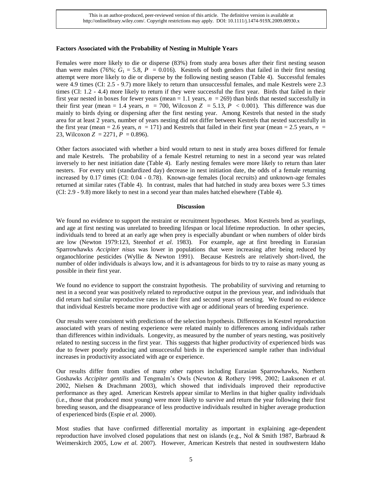#### **Factors Associated with the Probability of Nesting in Multiple Years**

Females were more likely to die or disperse (83%) from study area boxes after their first nesting season than were males (76%;  $G_1 = 5.8$ ,  $P = 0.016$ ). Kestrels of both genders that failed in their first nesting attempt were more likely to die or disperse by the following nesting season (Table 4). Successful females were 4.9 times (CI: 2.5 - 9.7) more likely to return than unsuccessful females, and male Kestrels were 2.3 times (CI: 1.2 - 4.4) more likely to return if they were successful the first year. Birds that failed in their first year nested in boxes for fewer years (mean  $= 1.1$  years,  $n = 269$ ) than birds that nested successfully in their first year (mean = 1.4 years,  $n = 700$ , Wilcoxon  $Z = 5.13$ ,  $P < 0.001$ ). This difference was due mainly to birds dying or dispersing after the first nesting year. Among Kestrels that nested in the study area for at least 2 years, number of years nesting did not differ between Kestrels that nested successfully in the first year (mean  $= 2.6$  years,  $n = 171$ ) and Kestrels that failed in their first year (mean  $= 2.5$  years,  $n =$ 23, Wilcoxon *Z* = 2271, *P* = 0.896).

Other factors associated with whether a bird would return to nest in study area boxes differed for female and male Kestrels. The probability of a female Kestrel returning to nest in a second year was related inversely to her nest initiation date (Table 4). Early nesting females were more likely to return than later nesters. For every unit (standardized day) decrease in nest initiation date, the odds of a female returning increased by 0.17 times (CI: 0.04 - 0.78). Known-age females (local recruits) and unknown-age females returned at similar rates (Table 4). In contrast, males that had hatched in study area boxes were 5.3 times (CI: 2.9 - 9.8) more likely to nest in a second year than males hatched elsewhere (Table 4).

#### **Discussion**

We found no evidence to support the restraint or recruitment hypotheses. Most Kestrels bred as yearlings, and age at first nesting was unrelated to breeding lifespan or local lifetime reproduction. In other species, individuals tend to breed at an early age when prey is especially abundant or when numbers of older birds are low (Newton 1979:123, Steenhof *et al*. 1983). For example, age at first breeding in Eurasian Sparrowhawks *Accipiter nisus* was lower in populations that were increasing after being reduced by organochlorine pesticides (Wyllie & Newton 1991). Because Kestrels are relatively short-lived, the number of older individuals is always low, and it is advantageous for birds to try to raise as many young as possible in their first year.

We found no evidence to support the constraint hypothesis. The probability of surviving and returning to nest in a second year was positively related to reproductive output in the previous year, and individuals that did return had similar reproductive rates in their first and second years of nesting. We found no evidence that individual Kestrels became more productive with age or additional years of breeding experience.

Our results were consistent with predictions of the selection hypothesis. Differences in Kestrel reproduction associated with years of nesting experience were related mainly to differences among individuals rather than differences within individuals. Longevity, as measured by the number of years nesting, was positively related to nesting success in the first year. This suggests that higher productivity of experienced birds was due to fewer poorly producing and unsuccessful birds in the experienced sample rather than individual increases in productivity associated with age or experience.

Our results differ from studies of many other raptors including Eurasian Sparrowhawks, Northern Goshawks *Accipiter gentilis* and Tengmalm's Owls (Newton & Rothery 1998, 2002; Laaksonen *et al.* 2002, Nielsen & Drachmann 2003), which showed that individuals improved their reproductive performance as they aged. American Kestrels appear similar to Merlins in that higher quality individuals (i.e., those that produced most young) were more likely to survive and return the year following their first breeding season, and the disappearance of less productive individuals resulted in higher average production of experienced birds (Espie *et al.* 2000).

Most studies that have confirmed differential mortality as important in explaining age-dependent reproduction have involved closed populations that nest on islands (e.g., Nol & Smith 1987, Barbraud  $\&$ Weimerskirch 2005, Low *et al.* 2007). However, American Kestrels that nested in southwestern Idaho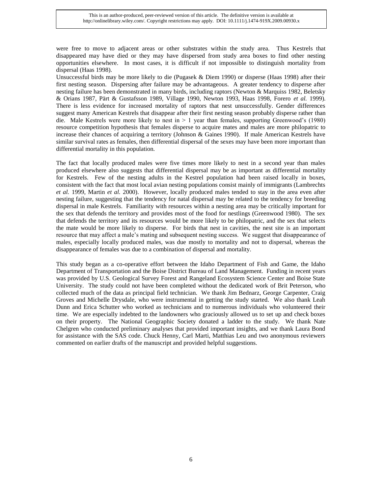were free to move to adjacent areas or other substrates within the study area. Thus Kestrels that disappeared may have died or they may have dispersed from study area boxes to find other nesting opportunities elsewhere. In most cases, it is difficult if not impossible to distinguish mortality from dispersal (Haas 1998).

Unsuccessful birds may be more likely to die (Pugasek & Diem 1990) or disperse (Haas 1998) after their first nesting season. Dispersing after failure may be advantageous. A greater tendency to disperse after nesting failure has been demonstrated in many birds, including raptors (Newton & Marquiss 1982, Beletsky & Orians 1987, Pärt & Gustafsson 1989, Village 1990, Newton 1993, Haas 1998, Forero *et al.* 1999). There is less evidence for increased mortality of raptors that nest unsuccessfully. Gender differences suggest many American Kestrels that disappear after their first nesting season probably disperse rather than die. Male Kestrels were more likely to nest in > 1 year than females, supporting Greenwood's (1980) resource competition hypothesis that females disperse to acquire mates and males are more philopatric to increase their chances of acquiring a territory (Johnson & Gaines 1990). If male American Kestrels have similar survival rates as females, then differential dispersal of the sexes may have been more important than differential mortality in this population.

The fact that locally produced males were five times more likely to nest in a second year than males produced elsewhere also suggests that differential dispersal may be as important as differential mortality for Kestrels. Few of the nesting adults in the Kestrel population had been raised locally in boxes, consistent with the fact that most local avian nesting populations consist mainly of immigrants (Lambrechts *et al.* 1999, Martin *et al.* 2000). However, locally produced males tended to stay in the area even after nesting failure, suggesting that the tendency for natal dispersal may be related to the tendency for breeding dispersal in male Kestrels. Familiarity with resources within a nesting area may be critically important for the sex that defends the territory and provides most of the food for nestlings (Greenwood 1980). The sex that defends the territory and its resources would be more likely to be philopatric, and the sex that selects the mate would be more likely to disperse. For birds that nest in cavities, the nest site is an important resource that may affect a male's mating and subsequent nesting success. We suggest that disappearance of males, especially locally produced males, was due mostly to mortality and not to dispersal, whereas the disappearance of females was due to a combination of dispersal and mortality.

This study began as a co-operative effort between the Idaho Department of Fish and Game, the Idaho Department of Transportation and the Boise District Bureau of Land Management. Funding in recent years was provided by U.S. Geological Survey Forest and Rangeland Ecosystem Science Center and Boise State University. The study could not have been completed without the dedicated work of Brit Peterson, who collected much of the data as principal field technician. We thank Jim Bednarz, George Carpenter, Craig Groves and Michelle Drysdale, who were instrumental in getting the study started. We also thank Leah Dunn and Erica Schutter who worked as technicians and to numerous individuals who volunteered their time. We are especially indebted to the landowners who graciously allowed us to set up and check boxes on their property. The National Geographic Society donated a ladder to the study. We thank Nate Chelgren who conducted preliminary analyses that provided important insights, and we thank Laura Bond for assistance with the SAS code. Chuck Henny, Carl Marti, Matthias Leu and two anonymous reviewers commented on earlier drafts of the manuscript and provided helpful suggestions.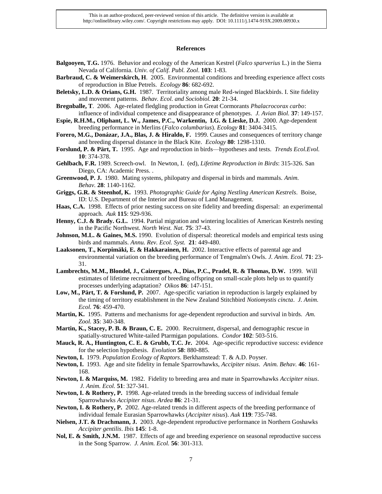This is an author-produced, peer-reviewed version of this article. The definitive version is available at http://onlinelibrary.wiley.com/. Copyright restrictions may apply. DOI: 10.1111/j.1474-919X.2009.00930.x

#### **References**

- **Balgooyen, T.G.** 1976. Behavior and ecology of the American Kestrel (*Falco sparverius* L.) in the Sierra Nevada of California. *Univ. of Calif. Publ. Zool*. **103**: 1-83.
- **Barbraud, C. & Weimerskirch, H**. 2005. Environmental conditions and breeding experience affect costs of reproduction in Blue Petrels. *Ecology* **86**: 682-692.
- **Beletsky, L.D. & Orians, G.H.** 1987. Territoriality among male Red-winged Blackbirds. I. Site fidelity and movement patterns. *Behav. Ecol. and Sociobiol.* **20**: 21-34.
- **Bregnballe, T**. 2006. Age-related fledgling production in Great Cormorants *Phalacrocorax carbo*: influence of individual competence and disappearance of phenotypes. *J. Avian Biol.* **37**: 149-157.
- **Espie, R.H.M., Oliphant, L. W., James, P.C., Warkentin, I.G. & Lieske, D.J.** 2000. Age-dependent breeding performance in Merlins (*Falco columbarius*). *Ecology* **81**: 3404-3415.
- **Forero, M.G., Donázar, J.A., Blas, J. & Hiraldo, F.** 1999. Causes and consequences of territory change and breeding dispersal distance in the Black Kite. *Ecology* **80**: 1298-1310.
- **Forslund, P. & Pärt, T.** 1995. Age and reproduction in birds—hypotheses and tests. *Trends Ecol.Evol.* **10**: 374-378.
- **Gehlbach, F.R.** 1989. Screech-owl. In Newton, I. (ed), *Lifetime Reproduction in Birds*: 315-326. San Diego, CA: Academic Press. .
- **Greenwood, P. J.** 1980. Mating systems, philopatry and dispersal in birds and mammals. *Anim. Behav.* **28**: 1140-1162.
- **Griggs, G.R. & Steenhof, K.** 1993. *Photographic Guide for Aging Nestling American Kestrels*. Boise, ID: U.S. Department of the Interior and Bureau of Land Management.
- **Haas, C.A.** 1998. Effects of prior nesting success on site fidelity and breeding dispersal: an experimental approach. *Auk* **115**: 929-936.
- **Henny, C.J. & Brady. G.L.** 1994. Partial migration and wintering localities of American Kestrels nesting in the Pacific Northwest. *North West. Nat.* **75**: 37-43.
- **Johnson, M.L. & Gaines, M.S.** 1990. Evolution of dispersal: theoretical models and empirical tests using birds and mammals. *Annu. Rev. Ecol. Syst.* **21**: 449-480.
- **Laaksonen, T., Korpimäki, E. & Hakkarainen, H.** 2002. Interactive effects of parental age and environmental variation on the breeding performance of Tengmalm's Owls. *J. Anim. Ecol.* **71**: 23- 31.
- **Lambrechts, M.M., Blondel, J., Caizergues, A., Dias, P.C., Pradel, R. & Thomas, D.W.** 1999. Will estimates of lifetime recruitment of breeding offspring on small-scale plots help us to quantify processes underlying adaptation? *Oikos* **86**: 147-151.
- **Low, M., Pärt, T. & Forslund, P.** 2007. Age-specific variation in reproduction is largely explained by the timing of territory establishment in the New Zealand Stitchbird *Notiomystis cincta*. *J. Anim. Ecol.* **76**: 459-470.
- **Martin, K.** 1995. Patterns and mechanisms for age-dependent reproduction and survival in birds. *Am. Zool.* **35**: 340-348.
- **Martin, K., Stacey, P. B. & Braun, C. E.** 2000. Recruitment, dispersal, and demographic rescue in spatially-structured White-tailed Ptarmigan populations. *Condor* **102**: 503-516.
- **Mauck, R. A., Huntington, C. E. & Grubb, T.C. Jr.** 2004. Age-specific reproductive success: evidence for the selection hypothesis. *Evolution* **58**: 880-885.
- **Newton, I.** 1979. *Population Ecology of Raptors*. Berkhamstead: T. & A.D. Poyser.
- **Newton, I.** 1993. Age and site fidelity in female Sparrowhawks, *Accipiter nisus*. *Anim. Behav.* **46**: 161- 168.
- **Newton, I. & Marquiss, M.** 1982. Fidelity to breeding area and mate in Sparrowhawks *Accipiter nisus*. *J. Anim. Ecol.* **51**: 327-341.
- **Newton, I. & Rothery, P.** 1998. Age-related trends in the breeding success of individual female Sparrowhawks *Accipiter nisus. Ardea* **86**: 21-31.
- **Newton, I. & Rothery, P.** 2002. Age-related trends in different aspects of the breeding performance of individual female Eurasian Sparrowhawks (*Accipiter nisus*). *Auk* **119**: 735-748.
- **Nielsen, J.T. & Drachmann, J.** 2003. Age-dependent reproductive performance in Northern Goshawks *Accipiter gentilis*. *Ibis* **145**: 1-8.
- Nol, E. & Smith, J.N.M. 1987. Effects of age and breeding experience on seasonal reproductive success in the Song Sparrow. *J. Anim. Ecol.* **56**: 301-313.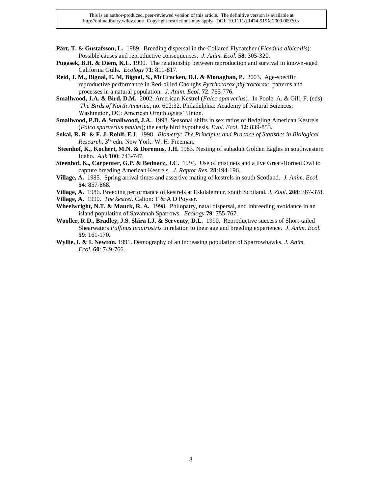- **Pärt, T. & Gustafsson, L.** 1989. Breeding dispersal in the Collared Flycatcher (*Ficedula albicollis*): Possible causes and reproductive consequences. *J. Anim. Ecol.* **58**: 305-320.
- **Pugasek, B.H. & Diem, K.L.** 1990. The relationship between reproduction and survival in known-aged California Gulls. *Ecology* **71**: 811-817.
- **Reid, J. M., Bignal, E. M, Bignal, S., McCracken, D.I. & Monaghan, P.** 2003. Age-specific reproductive performance in Red-billed Choughs *Pyrrhocorax phyrrocorax*: patterns and processes in a natural population. *J. Anim. Ecol.* **72**: 765-776.
- **Smallwood, J.A. & Bird, D.M.** 2002. American Kestrel (*Falco sparverius*). In Poole, A. & Gill, F. (eds) *The Birds of North America*, no. 602:32. Philadelphia: Academy of Natural Sciences; Washington, DC: American Ornithlogists' Union.
- **Smallwood, P.D. & Smallwood, J.A.** 1998. Seasonal shifts in sex ratios of fledgling American Kestrels (*Falco sparverius paulus*); the early bird hypothesis. *Evol. Ecol.* **12**: 839-853.
- **Sokal, R. R. & F. J. Rohlf, F.J**. 1998. *Biometry: The Principles and Practice of Statistics in Biological Research*. 3rd edn. New York: W. H. Freeman.
- **Steenhof, K., Kochert, M.N. & Doremus, J.H.** 1983. Nesting of subadult Golden Eagles in southwestern Idaho. *Auk* **100**: 743-747.
- **Steenhof, K., Carpenter, G.P. & Bednarz, J.C.** 1994. Use of mist nets and a live Great-Horned Owl to capture breeding American Kestrels. *J. Raptor Res.* **28**:194-196.
- **Village, A.** 1985. Spring arrival times and assertive mating of kestrels in south Scotland. *J. Anim. Ecol.* **54**: 857-868.
- **Village, A.** 1986. Breeding performance of kestrels at Eskdalemuir, south Scotland. *J. Zool.* **208**: 367-378.
- **Village, A.** 1990. *The kestrel*. Calton: T & A D Poyser.
- **Wheelwright, N.T. & Mauck, R. A.** 1998. Philopatry, natal dispersal, and inbreeding avoidance in an island population of Savannah Sparrows. *Ecology* **79**: 755-767.
- **Wooller, R.D., Bradley, J.S. Skira I.J. & Serventy, D.L.** 1990. Reproductive success of Short-tailed Shearwaters *Puffinus tenuirostris* in relation to their age and breeding experience. *J. Anim. Ecol.* **59**: 161-170.
- **Wyllie, I. & I. Newton.** 1991. Demography of an increasing population of Sparrowhawks. *J. Anim. Ecol.* **60**: 749-766.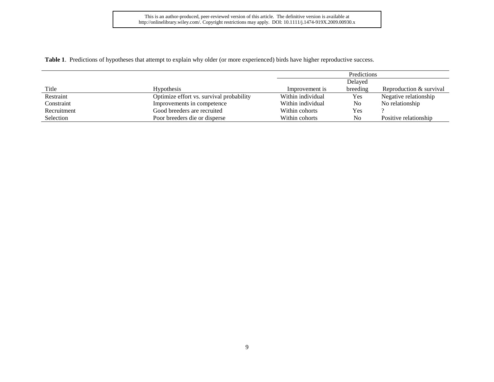This is an author-produced, peer-reviewed version of this article. The definitive version is available at http://onlinelibrary.wiley.com/. Copyright restrictions may apply. DOI: 10.1111/j.1474-919X.2009.00930.x

**Table 1**. Predictions of hypotheses that attempt to explain why older (or more experienced) birds have higher reproductive success.

|             |                                          |                   | Predictions |                         |  |
|-------------|------------------------------------------|-------------------|-------------|-------------------------|--|
|             |                                          |                   | Delayed     |                         |  |
| Title       | <b>Hypothesis</b>                        | Improvement is    | breeding    | Reproduction & survival |  |
| Restraint   | Optimize effort vs. survival probability | Within individual | Yes         | Negative relationship   |  |
| Constraint  | Improvements in competence               | Within individual | No          | No relationship         |  |
| Recruitment | Good breeders are recruited              | Within cohorts    | Yes         |                         |  |
| Selection   | Poor breeders die or disperse            | Within cohorts    | No          | Positive relationship   |  |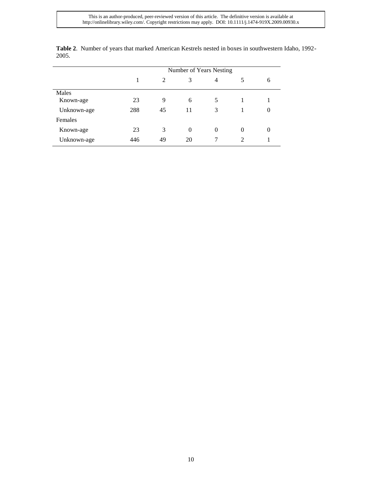|             | Number of Years Nesting |    |          |          |          |   |
|-------------|-------------------------|----|----------|----------|----------|---|
|             |                         | 2  | 3        | 4        |          | 6 |
| Males       |                         |    |          |          |          |   |
| Known-age   | 23                      | 9  | 6        |          |          |   |
| Unknown-age | 288                     | 45 | 11       | 3        |          | 0 |
| Females     |                         |    |          |          |          |   |
| Known-age   | 23                      | 3  | $\theta$ | $\Omega$ | $\theta$ | 0 |
| Unknown-age | 446                     | 49 | 20       |          |          |   |

**Table 2**. Number of years that marked American Kestrels nested in boxes in southwestern Idaho, 1992- 2005.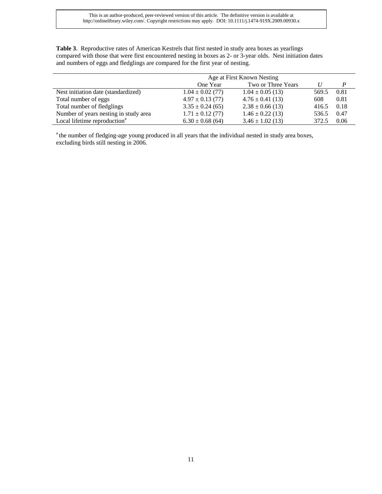**Table 3**. Reproductive rates of American Kestrels that first nested in study area boxes as yearlings compared with those that were first encountered nesting in boxes as 2- or 3-year olds. Nest initiation dates and numbers of eggs and fledglings are compared for the first year of nesting.

|                                          | Age at First Known Nesting |                      |       |      |
|------------------------------------------|----------------------------|----------------------|-------|------|
|                                          | One Year                   | Two or Three Years   |       | P    |
| Nest initiation date (standardized)      | $1.04 \pm 0.02$ (77)       | $1.04 \pm 0.05$ (13) | 569.5 | 0.81 |
| Total number of eggs                     | $4.97 \pm 0.13$ (77)       | $4.76 \pm 0.41$ (13) | 608   | 0.81 |
| Total number of fledglings               | $3.35 \pm 0.24$ (65)       | $2.38 \pm 0.66$ (13) | 416.5 | 0.18 |
| Number of years nesting in study area    | $1.71 \pm 0.12$ (77)       | $1.46 \pm 0.22$ (13) | 536.5 | 0.47 |
| Local lifetime reproduction <sup>a</sup> | $6.30 \pm 0.68$ (64)       | $3.46 \pm 1.02$ (13) | 372.5 | 0.06 |

<sup>a</sup> the number of fledging-age young produced in all years that the individual nested in study area boxes, excluding birds still nesting in 2006.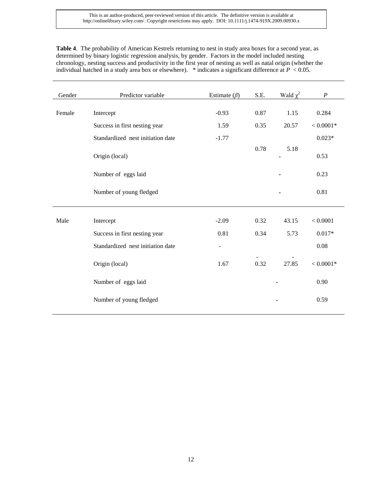**Table 4**. The probability of American Kestrels returning to nest in study area boxes for a second year, as determined by binary logistic regression analysis, by gender. Factors in the model included nesting chronology, nesting success and productivity in the first year of nesting as well as natal origin (whether the individual hatched in a study area box or elsewhere). \* indicates a significant difference at  $P < 0.05$ .

| Gender | Predictor variable                | Estimate $(\beta)$       | S.E. | Wald $\chi^2$ | $\boldsymbol{P}$    |
|--------|-----------------------------------|--------------------------|------|---------------|---------------------|
|        |                                   |                          |      |               |                     |
| Female | Intercept                         | $-0.93$                  | 0.87 | 1.15          | 0.284               |
|        | Success in first nesting year     | 1.59                     | 0.35 | 20.57         | $<0.0001\mathrm{*}$ |
|        | Standardized nest initiation date | $-1.77$                  |      |               | $0.023*$            |
|        | Origin (local)                    |                          | 0.78 | 5.18          | 0.53                |
|        | Number of eggs laid               |                          |      |               | 0.23                |
|        | Number of young fledged           |                          |      |               | 0.81                |
| Male   | Intercept                         | $-2.09$                  | 0.32 | 43.15         | < 0.0001            |
|        |                                   |                          |      |               |                     |
|        | Success in first nesting year     | 0.81                     | 0.34 | 5.73          | $0.017*$            |
|        | Standardized nest initiation date | $\overline{\phantom{a}}$ |      |               | 0.08                |
|        | Origin (local)                    | 1.67                     | 0.32 | 27.85         | $< 0.0001*$         |
|        | Number of eggs laid               |                          |      |               | 0.90                |
|        | Number of young fledged           |                          |      |               | 0.59                |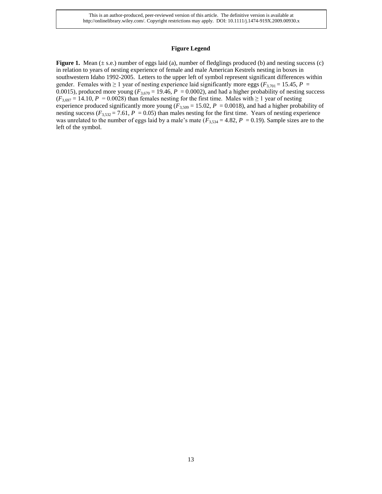This is an author-produced, peer-reviewed version of this article. The definitive version is available at http://onlinelibrary.wiley.com/. Copyright restrictions may apply. DOI: 10.1111/j.1474-919X.2009.00930.x

#### **Figure Legend**

**Figure 1.** Mean ( $\pm$  s.e.) number of eggs laid (a), number of fledglings produced (b) and nesting success (c) in relation to years of nesting experience of female and male American Kestrels nesting in boxes in southwestern Idaho 1992-2005. Letters to the upper left of symbol represent significant differences within gender. Females with  $\geq 1$  year of nesting experience laid significantly more eggs ( $F_{3,701} = 15.45$ ,  $P =$ 0.0015), produced more young ( $F_{3,670}$  = 19.46,  $P = 0.0002$ ), and had a higher probability of nesting success  $(F_{3,697} = 14.10, P = 0.0028)$  than females nesting for the first time. Males with  $\geq 1$  year of nesting experience produced significantly more young ( $F_{3,509} = 15.02$ ,  $P = 0.0018$ ), and had a higher probability of nesting success ( $F_{3,532}$  = 7.61,  $P = 0.05$ ) than males nesting for the first time. Years of nesting experience was unrelated to the number of eggs laid by a male's mate  $(F_{3,534} = 4.82, P = 0.19)$ . Sample sizes are to the left of the symbol.